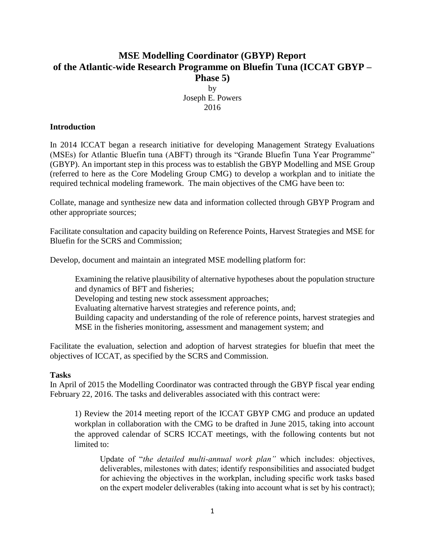## **MSE Modelling Coordinator (GBYP) Report of the Atlantic-wide Research Programme on Bluefin Tuna (ICCAT GBYP – Phase 5)**

by Joseph E. Powers 2016

## **Introduction**

In 2014 ICCAT began a research initiative for developing Management Strategy Evaluations (MSEs) for Atlantic Bluefin tuna (ABFT) through its "Grande Bluefin Tuna Year Programme" (GBYP). An important step in this process was to establish the GBYP Modelling and MSE Group (referred to here as the Core Modeling Group CMG) to develop a workplan and to initiate the required technical modeling framework. The main objectives of the CMG have been to:

Collate, manage and synthesize new data and information collected through GBYP Program and other appropriate sources;

Facilitate consultation and capacity building on Reference Points, Harvest Strategies and MSE for Bluefin for the SCRS and Commission;

Develop, document and maintain an integrated MSE modelling platform for:

Examining the relative plausibility of alternative hypotheses about the population structure and dynamics of BFT and fisheries;

Developing and testing new stock assessment approaches;

Evaluating alternative harvest strategies and reference points, and;

Building capacity and understanding of the role of reference points, harvest strategies and MSE in the fisheries monitoring, assessment and management system; and

Facilitate the evaluation, selection and adoption of harvest strategies for bluefin that meet the objectives of ICCAT, as specified by the SCRS and Commission.

## **Tasks**

In April of 2015 the Modelling Coordinator was contracted through the GBYP fiscal year ending February 22, 2016. The tasks and deliverables associated with this contract were:

1) Review the 2014 meeting report of the ICCAT GBYP CMG and produce an updated workplan in collaboration with the CMG to be drafted in June 2015, taking into account the approved calendar of SCRS ICCAT meetings, with the following contents but not limited to:

Update of "*the detailed multi-annual work plan"* which includes: objectives, deliverables, milestones with dates; identify responsibilities and associated budget for achieving the objectives in the workplan, including specific work tasks based on the expert modeler deliverables (taking into account what is set by his contract);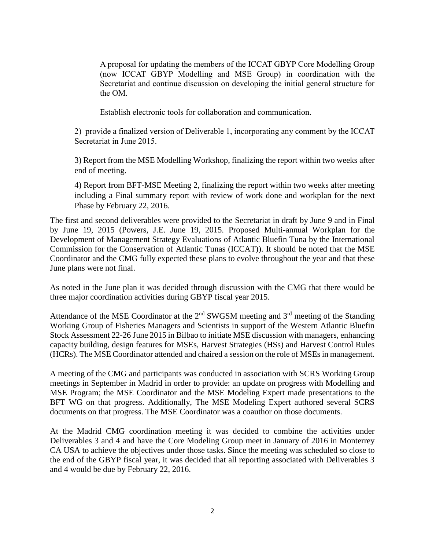A proposal for updating the members of the ICCAT GBYP Core Modelling Group (now ICCAT GBYP Modelling and MSE Group) in coordination with the Secretariat and continue discussion on developing the initial general structure for the OM.

Establish electronic tools for collaboration and communication.

2) provide a finalized version of Deliverable 1, incorporating any comment by the ICCAT Secretariat in June 2015.

3) Report from the MSE Modelling Workshop, finalizing the report within two weeks after end of meeting.

4) Report from BFT-MSE Meeting 2, finalizing the report within two weeks after meeting including a Final summary report with review of work done and workplan for the next Phase by February 22, 2016.

The first and second deliverables were provided to the Secretariat in draft by June 9 and in Final by June 19, 2015 (Powers, J.E. June 19, 2015. Proposed Multi-annual Workplan for the Development of Management Strategy Evaluations of Atlantic Bluefin Tuna by the International Commission for the Conservation of Atlantic Tunas (ICCAT)). It should be noted that the MSE Coordinator and the CMG fully expected these plans to evolve throughout the year and that these June plans were not final.

As noted in the June plan it was decided through discussion with the CMG that there would be three major coordination activities during GBYP fiscal year 2015.

Attendance of the MSE Coordinator at the  $2<sup>nd</sup>$  SWGSM meeting and  $3<sup>rd</sup>$  meeting of the Standing Working Group of Fisheries Managers and Scientists in support of the Western Atlantic Bluefin Stock Assessment 22-26 June 2015 in Bilbao to initiate MSE discussion with managers, enhancing capacity building, design features for MSEs, Harvest Strategies (HSs) and Harvest Control Rules (HCRs). The MSE Coordinator attended and chaired a session on the role of MSEs in management.

A meeting of the CMG and participants was conducted in association with SCRS Working Group meetings in September in Madrid in order to provide: an update on progress with Modelling and MSE Program; the MSE Coordinator and the MSE Modeling Expert made presentations to the BFT WG on that progress. Additionally, The MSE Modeling Expert authored several SCRS documents on that progress. The MSE Coordinator was a coauthor on those documents.

At the Madrid CMG coordination meeting it was decided to combine the activities under Deliverables 3 and 4 and have the Core Modeling Group meet in January of 2016 in Monterrey CA USA to achieve the objectives under those tasks. Since the meeting was scheduled so close to the end of the GBYP fiscal year, it was decided that all reporting associated with Deliverables 3 and 4 would be due by February 22, 2016.